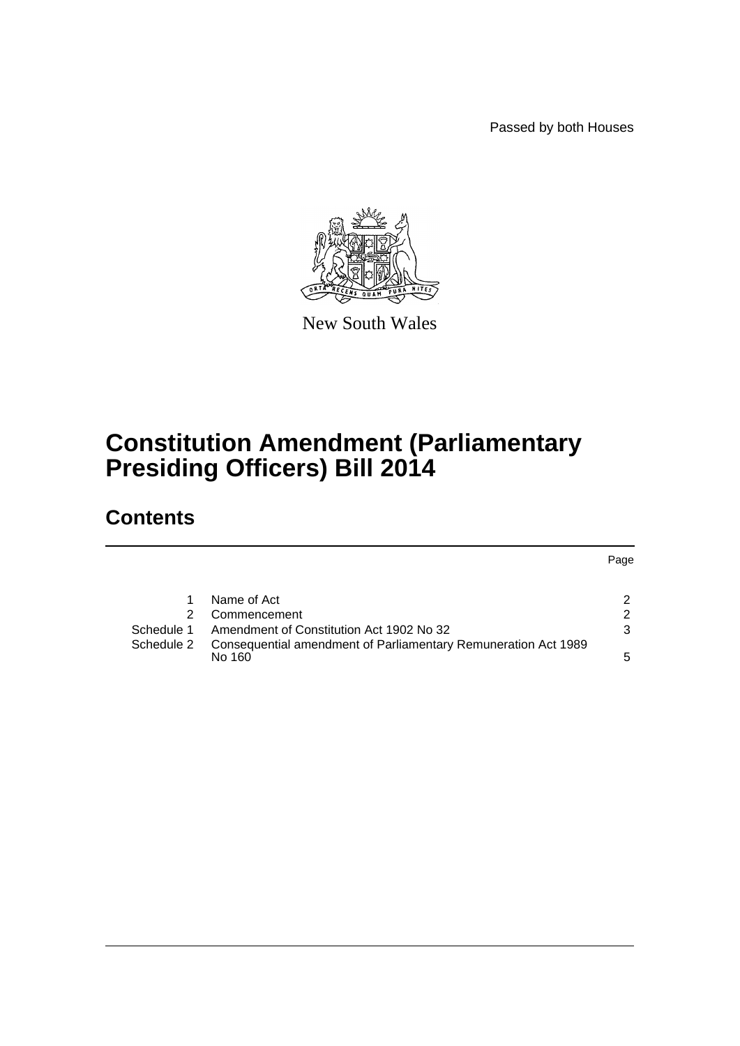Passed by both Houses



New South Wales

# **Constitution Amendment (Parliamentary Presiding Officers) Bill 2014**

## **Contents**

|            |                                                                          | Page |
|------------|--------------------------------------------------------------------------|------|
|            | Name of Act                                                              | 2    |
|            | Commencement                                                             | 2    |
| Schedule 1 | Amendment of Constitution Act 1902 No 32                                 | 3    |
| Schedule 2 | Consequential amendment of Parliamentary Remuneration Act 1989<br>No 160 | 5    |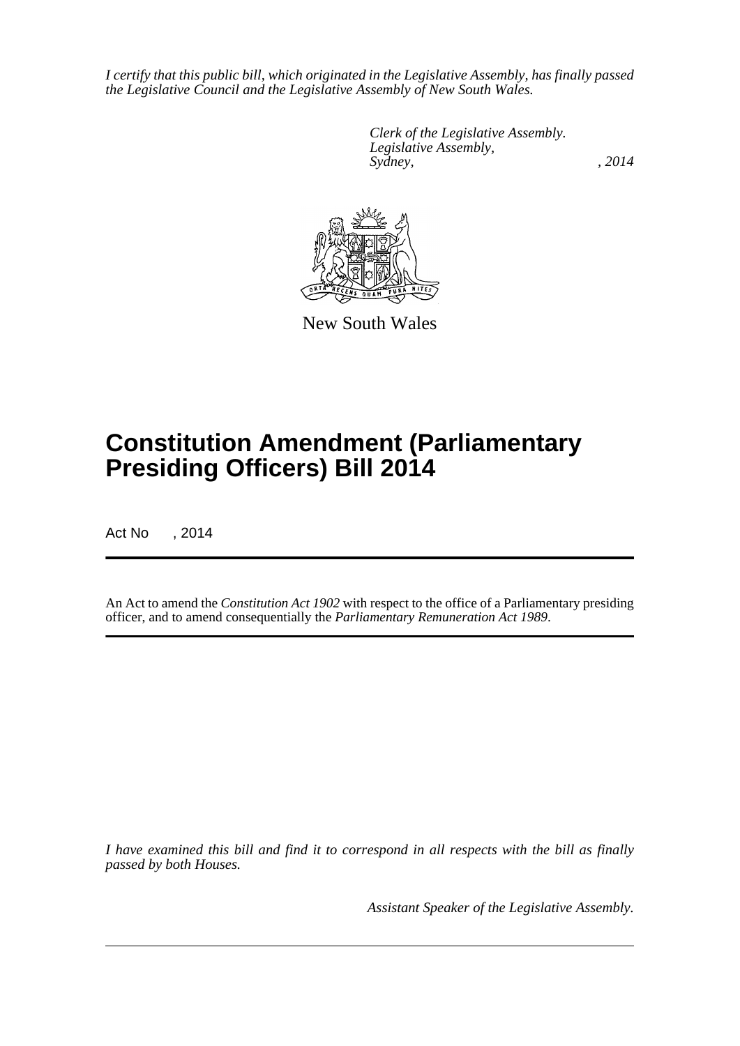*I certify that this public bill, which originated in the Legislative Assembly, has finally passed the Legislative Council and the Legislative Assembly of New South Wales.*

> *Clerk of the Legislative Assembly. Legislative Assembly, Sydney,* , 2014



New South Wales

# **Constitution Amendment (Parliamentary Presiding Officers) Bill 2014**

Act No , 2014

An Act to amend the *Constitution Act 1902* with respect to the office of a Parliamentary presiding officer, and to amend consequentially the *Parliamentary Remuneration Act 1989*.

*I have examined this bill and find it to correspond in all respects with the bill as finally passed by both Houses.*

*Assistant Speaker of the Legislative Assembly.*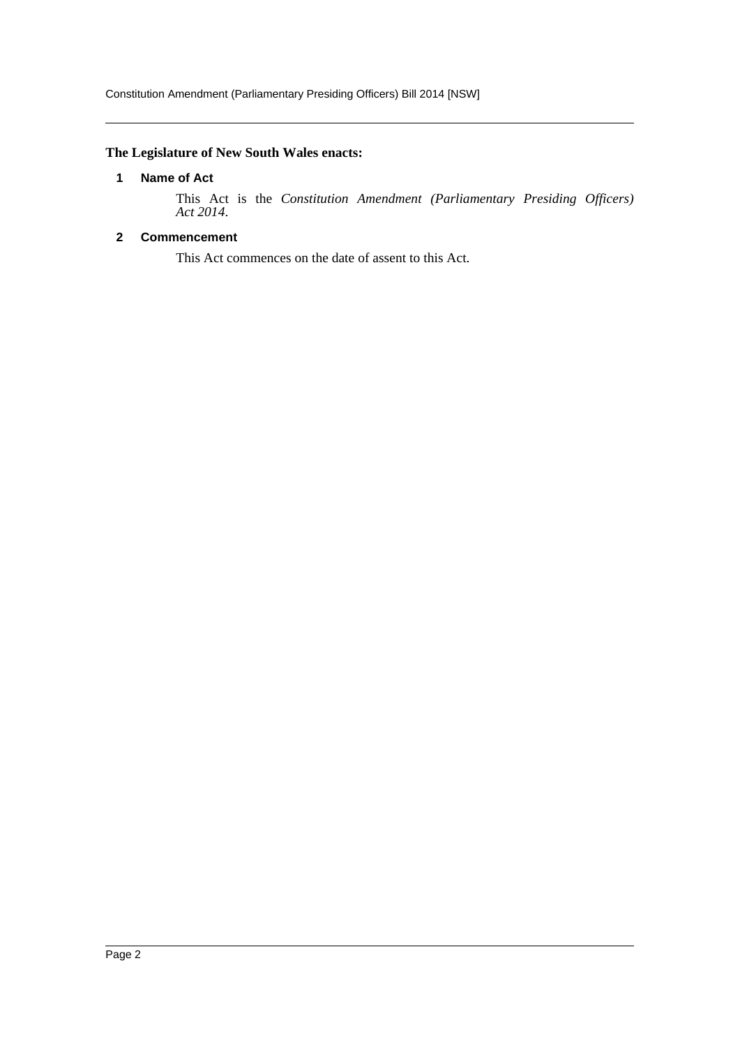### <span id="page-2-0"></span>**The Legislature of New South Wales enacts:**

#### **1 Name of Act**

This Act is the *Constitution Amendment (Parliamentary Presiding Officers) Act 2014*.

### <span id="page-2-1"></span>**2 Commencement**

This Act commences on the date of assent to this Act.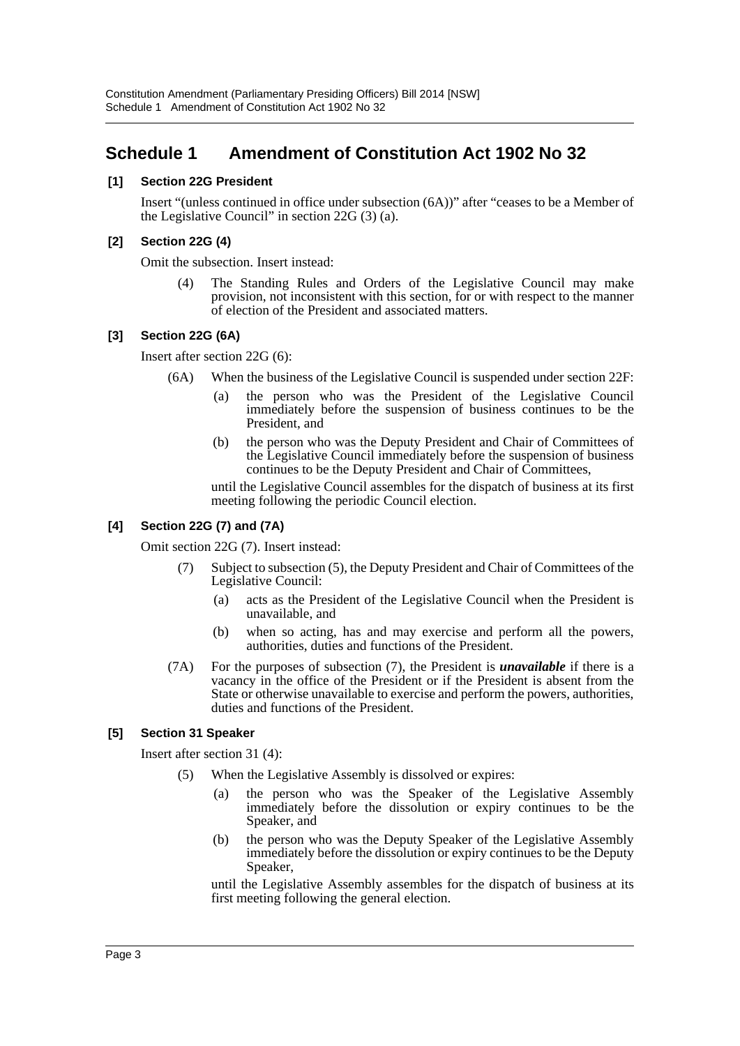## <span id="page-3-0"></span>**Schedule 1 Amendment of Constitution Act 1902 No 32**

#### **[1] Section 22G President**

Insert "(unless continued in office under subsection (6A))" after "ceases to be a Member of the Legislative Council" in section 22G (3) (a).

#### **[2] Section 22G (4)**

Omit the subsection. Insert instead:

(4) The Standing Rules and Orders of the Legislative Council may make provision, not inconsistent with this section, for or with respect to the manner of election of the President and associated matters.

#### **[3] Section 22G (6A)**

Insert after section 22G (6):

- (6A) When the business of the Legislative Council is suspended under section 22F:
	- (a) the person who was the President of the Legislative Council immediately before the suspension of business continues to be the President, and
	- (b) the person who was the Deputy President and Chair of Committees of the Legislative Council immediately before the suspension of business continues to be the Deputy President and Chair of Committees,

until the Legislative Council assembles for the dispatch of business at its first meeting following the periodic Council election.

#### **[4] Section 22G (7) and (7A)**

Omit section 22G (7). Insert instead:

- (7) Subject to subsection (5), the Deputy President and Chair of Committees of the Legislative Council:
	- (a) acts as the President of the Legislative Council when the President is unavailable, and
	- (b) when so acting, has and may exercise and perform all the powers, authorities, duties and functions of the President.
- (7A) For the purposes of subsection (7), the President is *unavailable* if there is a vacancy in the office of the President or if the President is absent from the State or otherwise unavailable to exercise and perform the powers, authorities, duties and functions of the President.

#### **[5] Section 31 Speaker**

Insert after section 31 (4):

- (5) When the Legislative Assembly is dissolved or expires:
	- (a) the person who was the Speaker of the Legislative Assembly immediately before the dissolution or expiry continues to be the Speaker, and
	- (b) the person who was the Deputy Speaker of the Legislative Assembly immediately before the dissolution or expiry continues to be the Deputy Speaker,

until the Legislative Assembly assembles for the dispatch of business at its first meeting following the general election.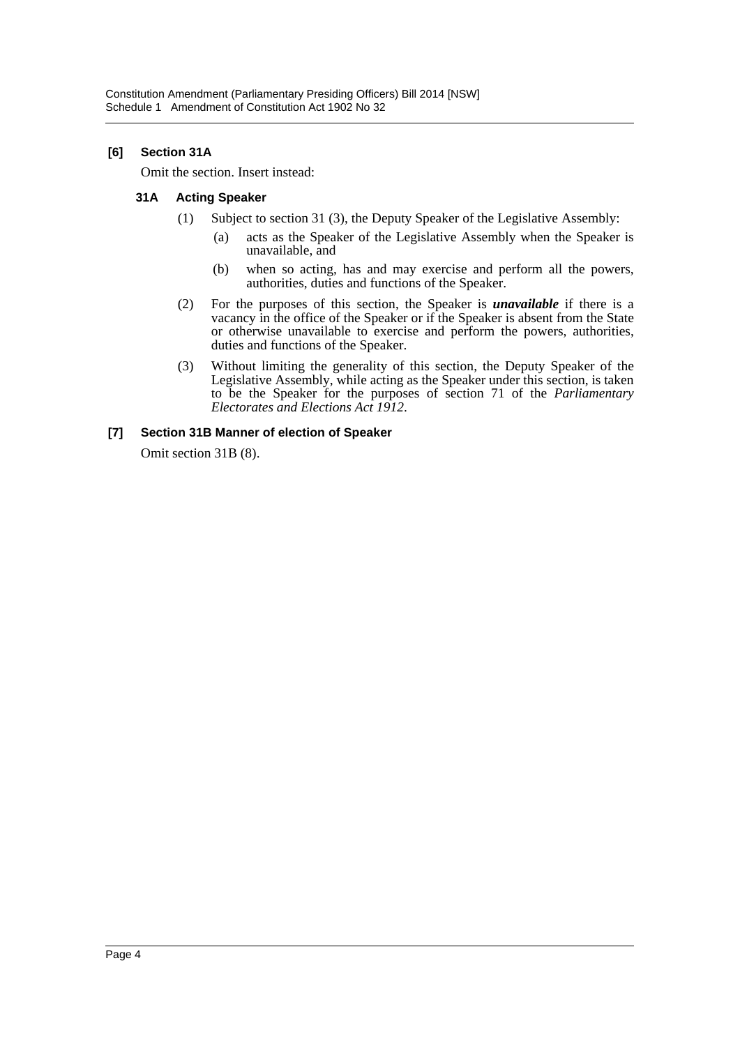#### **[6] Section 31A**

Omit the section. Insert instead:

#### **31A Acting Speaker**

- (1) Subject to section 31 (3), the Deputy Speaker of the Legislative Assembly:
	- (a) acts as the Speaker of the Legislative Assembly when the Speaker is unavailable, and
	- (b) when so acting, has and may exercise and perform all the powers, authorities, duties and functions of the Speaker.
- (2) For the purposes of this section, the Speaker is *unavailable* if there is a vacancy in the office of the Speaker or if the Speaker is absent from the State or otherwise unavailable to exercise and perform the powers, authorities, duties and functions of the Speaker.
- (3) Without limiting the generality of this section, the Deputy Speaker of the Legislative Assembly, while acting as the Speaker under this section, is taken to be the Speaker for the purposes of section 71 of the *Parliamentary Electorates and Elections Act 1912*.

#### **[7] Section 31B Manner of election of Speaker**

Omit section 31B (8).